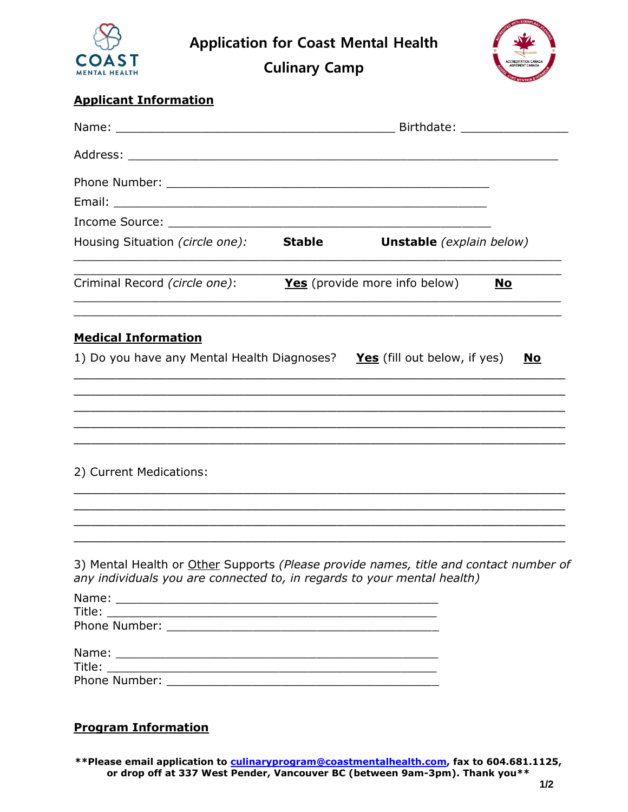

**Application for Coast Mental Health**

**Culinary Camp**



## **Applicant Information**

| Email: <u>Alexander Alexander Alexander Alexander Alexander Alexander Alexander Alexander Alexander Alexander Alex</u>                                           |  |                                 |           |
|------------------------------------------------------------------------------------------------------------------------------------------------------------------|--|---------------------------------|-----------|
|                                                                                                                                                                  |  |                                 |           |
| Housing Situation (circle one): Stable                                                                                                                           |  | <b>Unstable</b> (explain below) |           |
| Criminal Record (circle one):                                                                                                                                    |  | Yes (provide more info below)   | <u>No</u> |
| <b>Medical Information</b>                                                                                                                                       |  |                                 |           |
| 1) Do you have any Mental Health Diagnoses? Yes (fill out below, if yes)                                                                                         |  |                                 | <u>No</u> |
| <u> 1989 - Johann Harry Harry Harry Harry Harry Harry Harry Harry Harry Harry Harry Harry Harry Harry Harry Harry</u>                                            |  |                                 |           |
|                                                                                                                                                                  |  |                                 |           |
| 2) Current Medications:                                                                                                                                          |  |                                 |           |
|                                                                                                                                                                  |  |                                 |           |
|                                                                                                                                                                  |  |                                 |           |
| 3) Mental Health or Other Supports (Please provide names, title and contact number of<br>any individuals you are connected to, in regards to your mental health) |  |                                 |           |
|                                                                                                                                                                  |  |                                 |           |
|                                                                                                                                                                  |  |                                 |           |
|                                                                                                                                                                  |  |                                 |           |
|                                                                                                                                                                  |  |                                 |           |
|                                                                                                                                                                  |  |                                 |           |
|                                                                                                                                                                  |  |                                 |           |
|                                                                                                                                                                  |  |                                 |           |

## **Program Information**

**\*\*Please email application to [culinaryprogram@coastmentalhealth.com,](mailto:culinaryprogram@coastmentalhealth.com) fax to 604.681.1125, or drop off at 337 West Pender, Vancouver BC (between 9am-3pm). Thank you\*\***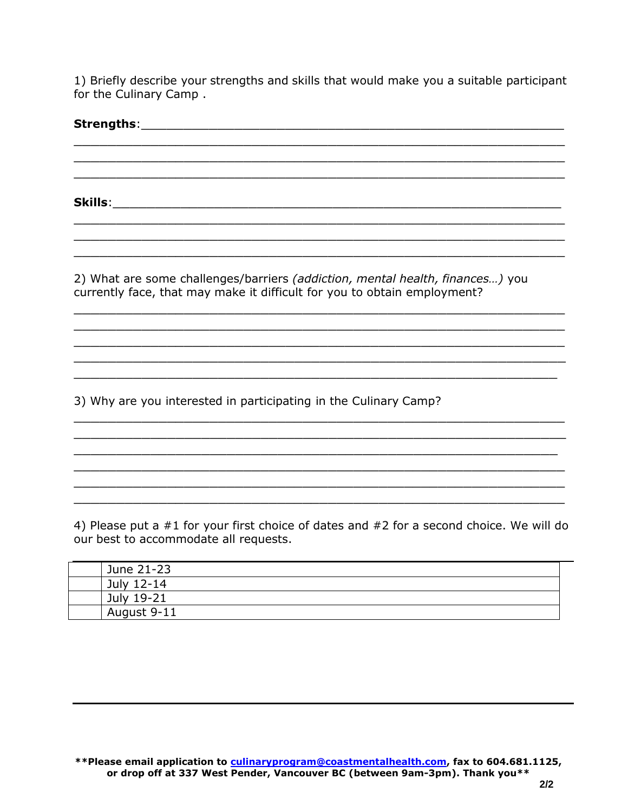1) Briefly describe your strengths and skills that would make you a suitable participant for the Culinary Camp .

**Strengths:** \_\_\_\_\_\_\_\_\_\_\_\_\_\_\_\_\_\_\_\_\_\_\_\_\_\_\_\_\_\_\_\_\_\_\_\_\_\_\_\_\_\_\_\_\_\_\_\_\_\_\_\_\_\_\_\_\_\_ \_\_\_\_\_\_\_\_\_\_\_\_\_\_\_\_\_\_\_\_\_\_\_\_\_\_\_\_\_\_\_\_\_\_\_\_\_\_\_\_\_\_\_\_\_\_\_\_\_\_\_\_\_\_\_\_\_\_ \_\_\_\_\_\_\_\_\_\_\_\_\_\_\_\_\_\_\_\_\_\_\_\_\_\_\_\_\_\_\_\_\_\_\_\_\_\_\_\_\_\_\_\_\_\_\_\_\_\_\_\_\_\_\_\_\_\_ **Skills**:\_\_\_\_\_\_\_\_\_\_\_\_\_\_\_\_\_\_\_\_\_\_\_\_\_\_\_\_\_\_\_\_\_\_\_\_\_\_\_\_\_\_\_\_\_\_\_\_\_\_\_\_\_ \_\_\_\_\_\_\_\_\_\_\_\_\_\_\_\_\_\_\_\_\_\_\_\_\_\_\_\_\_\_\_\_\_\_\_\_\_\_\_\_\_\_\_\_\_\_\_\_\_\_\_\_\_\_\_\_\_\_ \_\_\_\_\_\_\_\_\_\_\_\_\_\_\_\_\_\_\_\_\_\_\_\_\_\_\_\_\_\_\_\_\_\_\_\_\_\_\_\_\_\_\_\_\_\_\_\_\_\_\_\_\_\_\_\_\_\_ \_\_\_\_\_\_\_\_\_\_\_\_\_\_\_\_\_\_\_\_\_\_\_\_\_\_\_\_\_\_\_\_\_\_\_\_\_\_\_\_\_\_\_\_\_\_\_\_\_\_\_\_\_\_\_\_\_\_ 2) What are some challenges/barriers *(addiction, mental health, finances…)* you currently face, that may make it difficult for you to obtain employment? \_\_\_\_\_\_\_\_\_\_\_\_\_\_\_\_\_\_\_\_\_\_\_\_\_\_\_\_\_\_\_\_\_\_\_\_\_\_\_\_\_\_\_\_\_\_\_\_\_\_\_\_\_\_\_\_\_\_ \_\_\_\_\_\_\_\_\_\_\_\_\_\_\_\_\_\_\_\_\_\_\_\_\_\_\_\_\_\_\_\_\_\_\_\_\_\_\_\_\_\_\_\_\_\_\_\_\_\_\_\_\_\_\_\_\_\_ \_\_\_\_\_\_\_\_\_\_\_\_\_\_\_\_\_\_\_\_\_\_\_\_\_\_\_\_\_\_\_\_\_\_\_\_\_\_\_\_\_\_\_\_\_\_\_\_\_\_\_\_\_\_\_\_\_\_ \_\_\_\_\_\_\_\_\_\_\_\_\_\_\_\_\_\_\_\_\_\_\_\_\_\_\_\_\_\_\_\_\_\_\_\_\_\_\_\_\_\_\_\_\_\_\_\_\_\_\_\_\_\_\_\_\_\_ \_\_\_\_\_\_\_\_\_\_\_\_\_\_\_\_\_\_\_\_\_\_\_\_\_\_\_\_\_\_\_\_\_\_\_\_\_\_\_\_\_\_\_\_\_\_\_\_\_\_\_\_\_\_\_\_\_ 3) Why are you interested in participating in the Culinary Camp? \_\_\_\_\_\_\_\_\_\_\_\_\_\_\_\_\_\_\_\_\_\_\_\_\_\_\_\_\_\_\_\_\_\_\_\_\_\_\_\_\_\_\_\_\_\_\_\_\_\_\_\_\_\_\_\_\_\_ \_\_\_\_\_\_\_\_\_\_\_\_\_\_\_\_\_\_\_\_\_\_\_\_\_\_\_\_\_\_\_\_\_\_\_\_\_\_\_\_\_\_\_\_\_\_\_\_\_\_\_\_\_\_\_\_\_\_ \_\_\_\_\_\_\_\_\_\_\_\_\_\_\_\_\_\_\_\_\_\_\_\_\_\_\_\_\_\_\_\_\_\_\_\_\_\_\_\_\_\_\_\_\_\_\_\_\_\_\_\_\_\_\_\_\_ \_\_\_\_\_\_\_\_\_\_\_\_\_\_\_\_\_\_\_\_\_\_\_\_\_\_\_\_\_\_\_\_\_\_\_\_\_\_\_\_\_\_\_\_\_\_\_\_\_\_\_\_\_\_\_\_\_\_ \_\_\_\_\_\_\_\_\_\_\_\_\_\_\_\_\_\_\_\_\_\_\_\_\_\_\_\_\_\_\_\_\_\_\_\_\_\_\_\_\_\_\_\_\_\_\_\_\_\_\_\_\_\_\_\_\_\_ \_\_\_\_\_\_\_\_\_\_\_\_\_\_\_\_\_\_\_\_\_\_\_\_\_\_\_\_\_\_\_\_\_\_\_\_\_\_\_\_\_\_\_\_\_\_\_\_\_\_\_\_\_\_\_\_\_\_

4) Please put a #1 for your first choice of dates and #2 for a second choice. We will do our best to accommodate all requests.

| June 21-23  |  |
|-------------|--|
| July 12-14  |  |
| July 19-21  |  |
| August 9-11 |  |